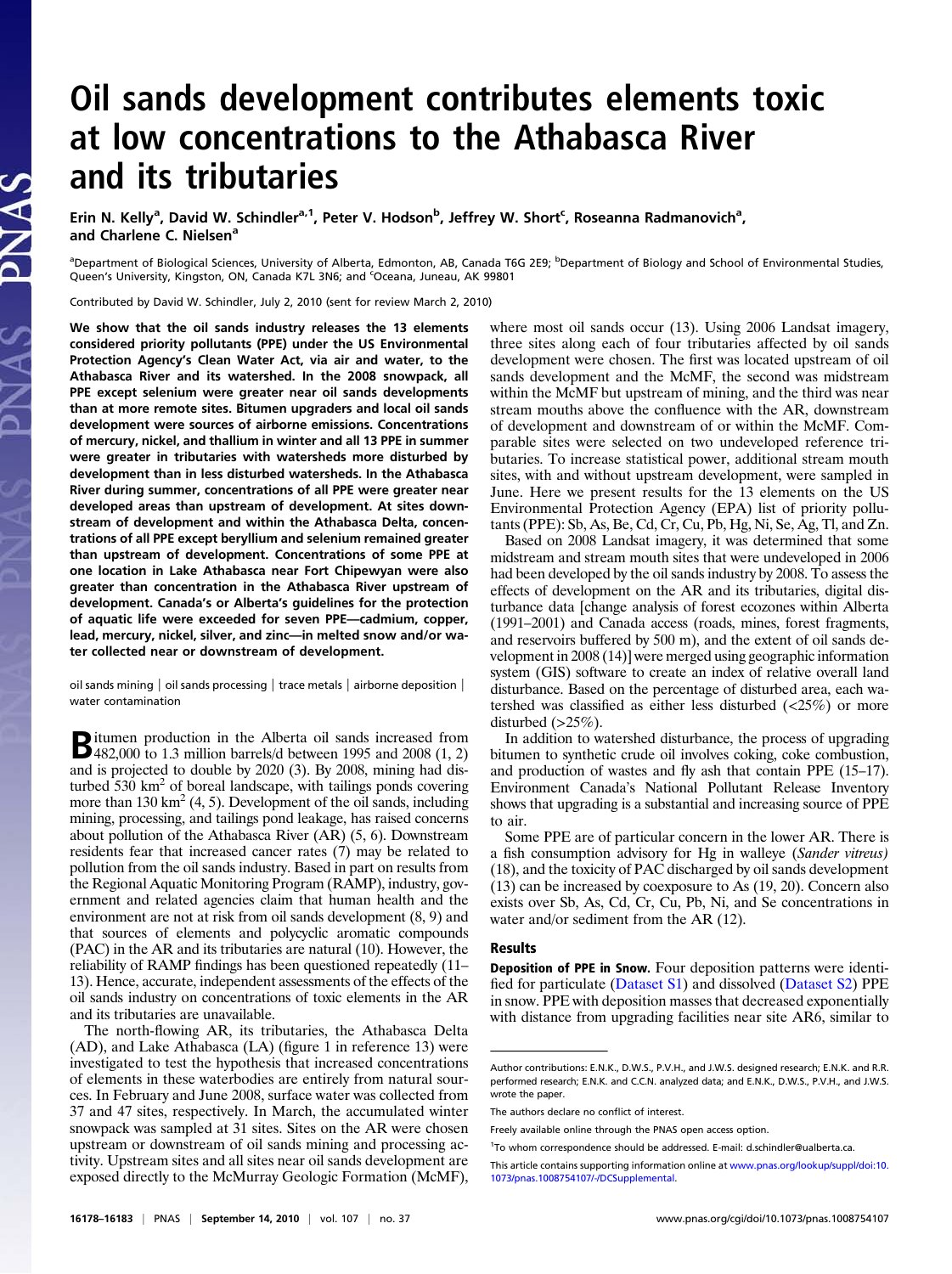## Oil sands development contributes elements toxic at low concentrations to the Athabasca River and its tributaries

Erin N. Kelly<sup>a</sup>, David W. Schindler<sup>a, 1</sup>, Peter V. Hodson<sup>b</sup>, Jeffrey W. Short<sup>c</sup>, Roseanna Radmanovich<sup>a</sup>, and Charlene C. Nielsen<sup>a</sup>

<sup>a</sup>Department of Biological Sciences, University of Alberta, Edmonton, AB, Canada T6G 2E9; <sup>b</sup>Department of Biology and School of Environmental Studies, Queen's University, Kingston, ON, Canada K7L 3N6; and <sup>c</sup>Oceana, Juneau, AK 99801

Contributed by David W. Schindler, July 2, 2010 (sent for review March 2, 2010)

We show that the oil sands industry releases the 13 elements considered priority pollutants (PPE) under the US Environmental Protection Agency's Clean Water Act, via air and water, to the Athabasca River and its watershed. In the 2008 snowpack, all PPE except selenium were greater near oil sands developments than at more remote sites. Bitumen upgraders and local oil sands development were sources of airborne emissions. Concentrations of mercury, nickel, and thallium in winter and all 13 PPE in summer were greater in tributaries with watersheds more disturbed by development than in less disturbed watersheds. In the Athabasca River during summer, concentrations of all PPE were greater near developed areas than upstream of development. At sites downstream of development and within the Athabasca Delta, concentrations of all PPE except beryllium and selenium remained greater than upstream of development. Concentrations of some PPE at one location in Lake Athabasca near Fort Chipewyan were also greater than concentration in the Athabasca River upstream of development. Canada's or Alberta's guidelines for the protection of aquatic life were exceeded for seven PPE—cadmium, copper, lead, mercury, nickel, silver, and zinc—in melted snow and/or water collected near or downstream of development.

oil sands mining | oil sands processing | trace metals | airborne deposition | water contamination

Bitumen production in the Alberta oil sands increased from 482,000 to 1.3 million barrels/d between 1995 and 2008 (1, 2) and is projected to double by 2020 (3). By 2008, mining had disturbed  $530 \text{ km}^2$  of boreal landscape, with tailings ponds covering more than  $130 \text{ km}^2$  (4, 5). Development of the oil sands, including mining, processing, and tailings pond leakage, has raised concerns about pollution of the Athabasca River (AR) (5, 6). Downstream residents fear that increased cancer rates (7) may be related to pollution from the oil sands industry. Based in part on results from the Regional Aquatic Monitoring Program (RAMP), industry, government and related agencies claim that human health and the environment are not at risk from oil sands development (8, 9) and that sources of elements and polycyclic aromatic compounds (PAC) in the AR and its tributaries are natural (10). However, the reliability of RAMP findings has been questioned repeatedly (11– 13). Hence, accurate, independent assessments of the effects of the oil sands industry on concentrations of toxic elements in the AR and its tributaries are unavailable.

The north-flowing AR, its tributaries, the Athabasca Delta (AD), and Lake Athabasca (LA) (figure 1 in reference 13) were investigated to test the hypothesis that increased concentrations of elements in these waterbodies are entirely from natural sources. In February and June 2008, surface water was collected from 37 and 47 sites, respectively. In March, the accumulated winter snowpack was sampled at 31 sites. Sites on the AR were chosen upstream or downstream of oil sands mining and processing activity. Upstream sites and all sites near oil sands development are exposed directly to the McMurray Geologic Formation (McMF), where most oil sands occur (13). Using 2006 Landsat imagery, three sites along each of four tributaries affected by oil sands development were chosen. The first was located upstream of oil sands development and the McMF, the second was midstream within the McMF but upstream of mining, and the third was near stream mouths above the confluence with the AR, downstream of development and downstream of or within the McMF. Comparable sites were selected on two undeveloped reference tributaries. To increase statistical power, additional stream mouth sites, with and without upstream development, were sampled in June. Here we present results for the 13 elements on the US Environmental Protection Agency (EPA) list of priority pollutants (PPE): Sb, As, Be, Cd, Cr, Cu, Pb, Hg, Ni, Se, Ag, Tl, and Zn.

Based on 2008 Landsat imagery, it was determined that some midstream and stream mouth sites that were undeveloped in 2006 had been developed by the oil sands industry by 2008. To assess the effects of development on the AR and its tributaries, digital disturbance data [change analysis of forest ecozones within Alberta (1991–2001) and Canada access (roads, mines, forest fragments, and reservoirs buffered by 500 m), and the extent of oil sands development in 2008 (14)] were merged using geographic information system (GIS) software to create an index of relative overall land disturbance. Based on the percentage of disturbed area, each watershed was classified as either less disturbed (<25%) or more disturbed  $(>25\%)$ .

In addition to watershed disturbance, the process of upgrading bitumen to synthetic crude oil involves coking, coke combustion, and production of wastes and fly ash that contain PPE (15–17). Environment Canada's National Pollutant Release Inventory shows that upgrading is a substantial and increasing source of PPE to air.

Some PPE are of particular concern in the lower AR. There is a fish consumption advisory for Hg in walleye (Sander vitreus) (18), and the toxicity of PAC discharged by oil sands development (13) can be increased by coexposure to As (19, 20). Concern also exists over Sb, As, Cd, Cr, Cu, Pb, Ni, and Se concentrations in water and/or sediment from the AR (12).

## Results

Deposition of PPE in Snow. Four deposition patterns were identified for particulate [\(Dataset S1\)](http://www.pnas.org/lookup/suppl/doi:10.1073/pnas.1008754107/-/DCSupplemental/sd01.xls) and dissolved [\(Dataset S2\)](http://www.pnas.org/lookup/suppl/doi:10.1073/pnas.1008754107/-/DCSupplemental/sd02.xls) PPE in snow. PPE with deposition masses that decreased exponentially with distance from upgrading facilities near site AR6, similar to

Author contributions: E.N.K., D.W.S., P.V.H., and J.W.S. designed research; E.N.K. and R.R. performed research; E.N.K. and C.C.N. analyzed data; and E.N.K., D.W.S., P.V.H., and J.W.S. wrote the paper.

The authors declare no conflict of interest.

Freely available online through the PNAS open access option.

<sup>&</sup>lt;sup>1</sup>To whom correspondence should be addressed. E-mail: [d.schindler@ualberta.ca](mailto:d.schindler@ualberta.ca).

This article contains supporting information online at [www.pnas.org/lookup/suppl/doi:10.](http://www.pnas.org/lookup/suppl/doi:10.1073/pnas.1008754107/-/DCSupplemental) [1073/pnas.1008754107/-/DCSupplemental.](http://www.pnas.org/lookup/suppl/doi:10.1073/pnas.1008754107/-/DCSupplemental)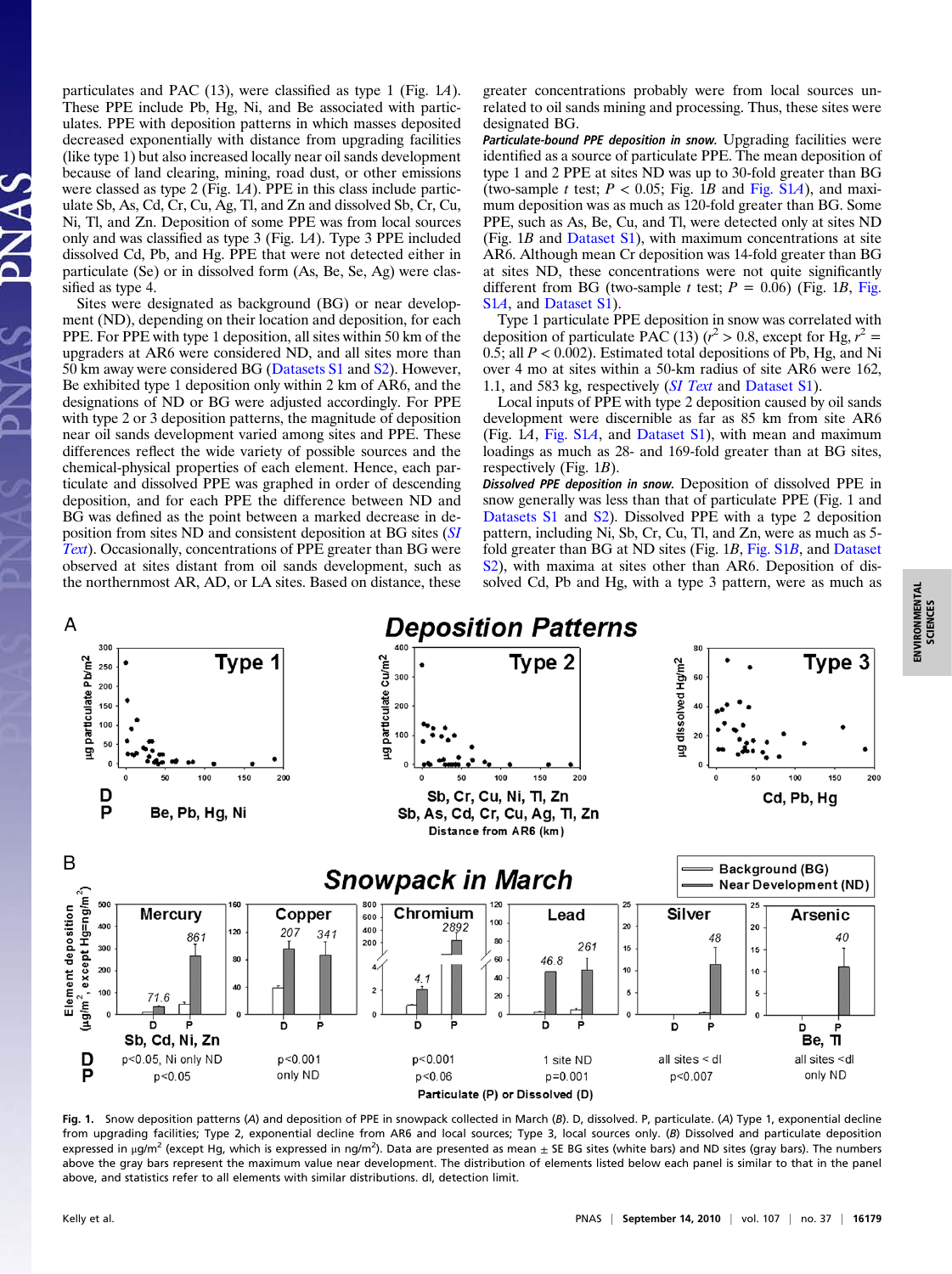particulates and PAC (13), were classified as type 1 (Fig. 1A). These PPE include Pb, Hg, Ni, and Be associated with particulates. PPE with deposition patterns in which masses deposited decreased exponentially with distance from upgrading facilities (like type 1) but also increased locally near oil sands development because of land clearing, mining, road dust, or other emissions were classed as type 2 (Fig. 1A). PPE in this class include particulate Sb, As, Cd, Cr, Cu, Ag, Tl, and Zn and dissolved Sb, Cr, Cu, Ni, Tl, and Zn. Deposition of some PPE was from local sources only and was classified as type 3 (Fig. 1A). Type 3 PPE included dissolved Cd, Pb, and Hg. PPE that were not detected either in particulate (Se) or in dissolved form (As, Be, Se, Ag) were classified as type 4.

Sites were designated as background (BG) or near development (ND), depending on their location and deposition, for each PPE. For PPE with type 1 deposition, all sites within 50 km of the upgraders at AR6 were considered ND, and all sites more than 50 km away were considered BG ([Datasets S1](http://www.pnas.org/lookup/suppl/doi:10.1073/pnas.1008754107/-/DCSupplemental/sd01.xls) and [S2](http://www.pnas.org/lookup/suppl/doi:10.1073/pnas.1008754107/-/DCSupplemental/sd02.xls)). However, Be exhibited type 1 deposition only within 2 km of AR6, and the designations of ND or BG were adjusted accordingly. For PPE with type 2 or 3 deposition patterns, the magnitude of deposition near oil sands development varied among sites and PPE. These differences reflect the wide variety of possible sources and the chemical-physical properties of each element. Hence, each particulate and dissolved PPE was graphed in order of descending deposition, and for each PPE the difference between ND and BG was defined as the point between a marked decrease in deposition from sites ND and consistent deposition at BG sites ([SI](http://www.pnas.org/lookup/suppl/doi:10.1073/pnas.1008754107/-/DCSupplemental/pnas.201008754SI.pdf?targetid=nameddest=STXT) [Text](http://www.pnas.org/lookup/suppl/doi:10.1073/pnas.1008754107/-/DCSupplemental/pnas.201008754SI.pdf?targetid=nameddest=STXT)). Occasionally, concentrations of PPE greater than BG were observed at sites distant from oil sands development, such as the northernmost AR, AD, or LA sites. Based on distance, these greater concentrations probably were from local sources unrelated to oil sands mining and processing. Thus, these sites were designated BG.

Particulate-bound PPE deposition in snow. Upgrading facilities were identified as a source of particulate PPE. The mean deposition of type 1 and 2 PPE at sites ND was up to 30-fold greater than BG (two-sample t test;  $P < 0.05$ ; Fig. 1B and [Fig. S1](http://www.pnas.org/lookup/suppl/doi:10.1073/pnas.1008754107/-/DCSupplemental/pnas.201008754SI.pdf?targetid=nameddest=SF1)A), and maximum deposition was as much as 120-fold greater than BG. Some PPE, such as As, Be, Cu, and Tl, were detected only at sites ND (Fig.  $1B$  and [Dataset S1\)](http://www.pnas.org/lookup/suppl/doi:10.1073/pnas.1008754107/-/DCSupplemental/sd01.xls), with maximum concentrations at site AR6. Although mean Cr deposition was 14-fold greater than BG at sites ND, these concentrations were not quite significantly different from BG (two-sample t test;  $P = 0.06$ ) ([Fig.](http://www.pnas.org/lookup/suppl/doi:10.1073/pnas.1008754107/-/DCSupplemental/pnas.201008754SI.pdf?targetid=nameddest=SF1) 1B, Fig. S<sub>1</sub>A, and Dataset S<sub>1</sub>).

Type 1 particulate PPE deposition in snow was correlated with deposition of particulate PAC (13) ( $r^2 > 0.8$ , except for Hg,  $r^2 =$  $0.\overline{5}$ ; all  $P < 0.\overline{0}02$ ). Estimated total depositions of Pb, Hg, and Ni over 4 mo at sites within a 50-km radius of site AR6 were 162, 1.1, and 583 kg, respectively (*[SI Text](http://www.pnas.org/lookup/suppl/doi:10.1073/pnas.1008754107/-/DCSupplemental/pnas.201008754SI.pdf?targetid=nameddest=STXT)* and [Dataset S1\)](http://www.pnas.org/lookup/suppl/doi:10.1073/pnas.1008754107/-/DCSupplemental/sd01.xls).

Local inputs of PPE with type 2 deposition caused by oil sands development were discernible as far as 85 km from site AR6 (Fig. 1A, [Fig. S1](http://www.pnas.org/lookup/suppl/doi:10.1073/pnas.1008754107/-/DCSupplemental/pnas.201008754SI.pdf?targetid=nameddest=SF1)A, and [Dataset S1\)](http://www.pnas.org/lookup/suppl/doi:10.1073/pnas.1008754107/-/DCSupplemental/sd01.xls), with mean and maximum loadings as much as 28- and 169-fold greater than at BG sites, respectively (Fig. 1B).

Dissolved PPE deposition in snow. Deposition of dissolved PPE in snow generally was less than that of particulate PPE (Fig. 1 and [Datasets S1](http://www.pnas.org/lookup/suppl/doi:10.1073/pnas.1008754107/-/DCSupplemental/sd01.xls) and [S2](http://www.pnas.org/lookup/suppl/doi:10.1073/pnas.1008754107/-/DCSupplemental/sd02.xls)). Dissolved PPE with a type 2 deposition pattern, including Ni, Sb, Cr, Cu, Tl, and Zn, were as much as 5 fold greater than BG at ND sites (Fig. 1B, [Fig. S1](http://www.pnas.org/lookup/suppl/doi:10.1073/pnas.1008754107/-/DCSupplemental/pnas.201008754SI.pdf?targetid=nameddest=SF1)B, and [Dataset](http://www.pnas.org/lookup/suppl/doi:10.1073/pnas.1008754107/-/DCSupplemental/sd02.xls) [S2](http://www.pnas.org/lookup/suppl/doi:10.1073/pnas.1008754107/-/DCSupplemental/sd02.xls)), with maxima at sites other than AR6. Deposition of dissolved Cd, Pb and Hg, with a type 3 pattern, were as much as



Fig. 1. Snow deposition patterns (A) and deposition of PPE in snowpack collected in March (B). D, dissolved. P, particulate. (A) Type 1, exponential decline from upgrading facilities; Type 2, exponential decline from AR6 and local sources; Type 3, local sources only. (B) Dissolved and particulate deposition expressed in µg/m<sup>2</sup> (except Hg, which is expressed in ng/m<sup>2</sup>). Data are presented as mean  $\pm$  SE BG sites (white bars) and ND sites (gray bars). The numbers above the gray bars represent the maximum value near development. The distribution of elements listed below each panel is similar to that in the panel above, and statistics refer to all elements with similar distributions. dl, detection limit.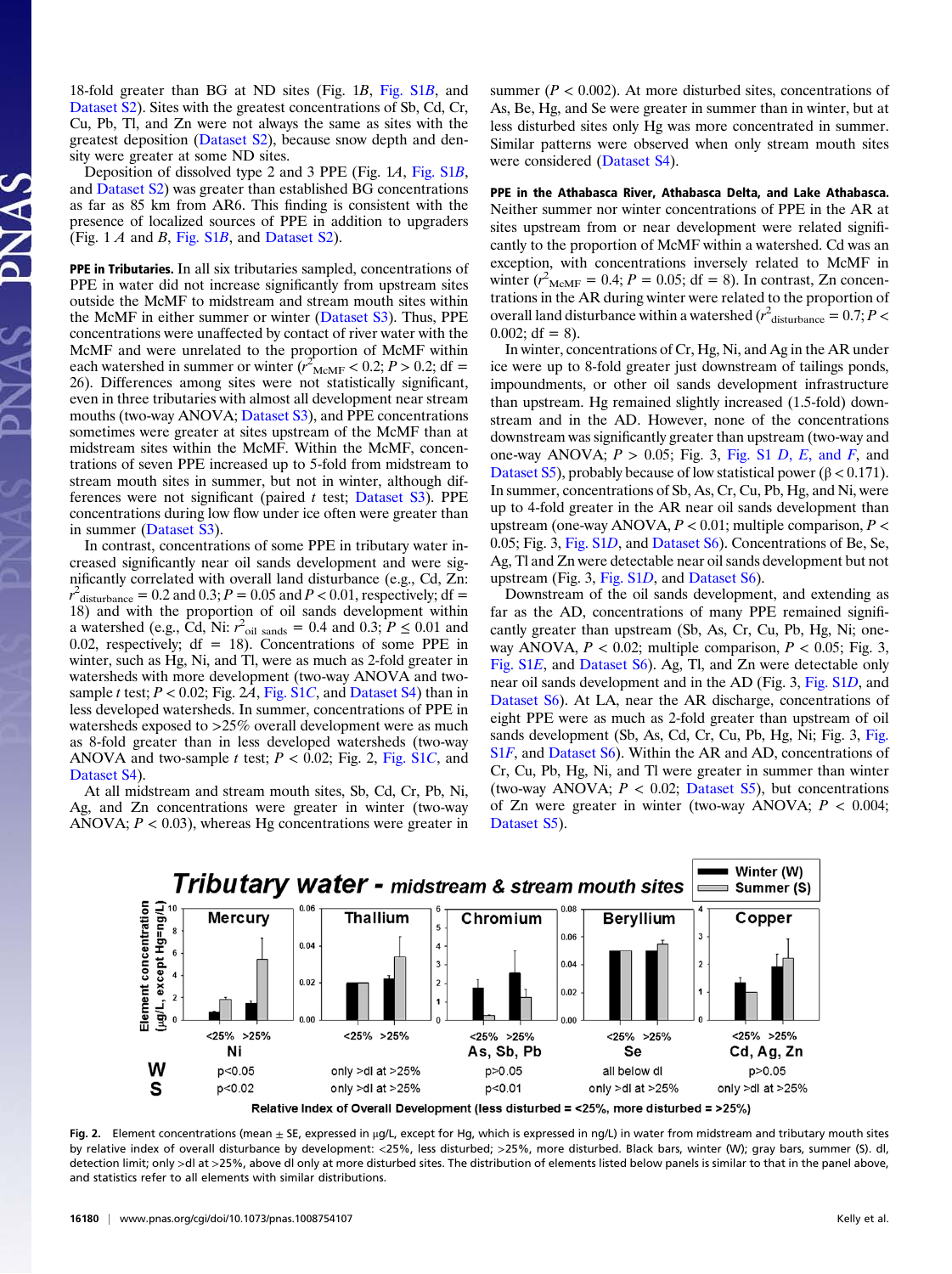18-fold greater than BG at ND sites (Fig. 1B, [Fig. S1](http://www.pnas.org/lookup/suppl/doi:10.1073/pnas.1008754107/-/DCSupplemental/pnas.201008754SI.pdf?targetid=nameddest=SF1)B, and [Dataset S2](http://www.pnas.org/lookup/suppl/doi:10.1073/pnas.1008754107/-/DCSupplemental/sd02.xls)). Sites with the greatest concentrations of Sb, Cd, Cr, Cu, Pb, Tl, and Zn were not always the same as sites with the greatest deposition [\(Dataset S2](http://www.pnas.org/lookup/suppl/doi:10.1073/pnas.1008754107/-/DCSupplemental/sd02.xls)), because snow depth and density were greater at some ND sites.

Deposition of dissolved type 2 and 3 PPE (Fig. 1A, [Fig. S1](http://www.pnas.org/lookup/suppl/doi:10.1073/pnas.1008754107/-/DCSupplemental/pnas.201008754SI.pdf?targetid=nameddest=SF1)B, and [Dataset S2\)](http://www.pnas.org/lookup/suppl/doi:10.1073/pnas.1008754107/-/DCSupplemental/sd02.xls) was greater than established BG concentrations as far as 85 km from AR6. This finding is consistent with the presence of localized sources of PPE in addition to upgraders (Fig. 1  $\vec{A}$  and  $\vec{B}$ , [Fig. S1](http://www.pnas.org/lookup/suppl/doi:10.1073/pnas.1008754107/-/DCSupplemental/pnas.201008754SI.pdf?targetid=nameddest=SF1) $\vec{B}$ , and [Dataset S2\)](http://www.pnas.org/lookup/suppl/doi:10.1073/pnas.1008754107/-/DCSupplemental/sd02.xls).

PPE in Tributaries. In all six tributaries sampled, concentrations of PPE in water did not increase significantly from upstream sites outside the McMF to midstream and stream mouth sites within the McMF in either summer or winter ([Dataset S3\)](http://www.pnas.org/lookup/suppl/doi:10.1073/pnas.1008754107/-/DCSupplemental/sd03.xls). Thus, PPE concentrations were unaffected by contact of river water with the McMF and were unrelated to the proportion of McMF within each watershed in summer or winter  $(r_{\text{McMF}}^2 < 0.2; P > 0.2; df =$ 26). Differences among sites were not statistically significant, even in three tributaries with almost all development near stream mouths (two-way ANOVA; [Dataset S3](http://www.pnas.org/lookup/suppl/doi:10.1073/pnas.1008754107/-/DCSupplemental/sd03.xls)), and PPE concentrations sometimes were greater at sites upstream of the McMF than at midstream sites within the McMF. Within the McMF, concentrations of seven PPE increased up to 5-fold from midstream to stream mouth sites in summer, but not in winter, although differences were not significant (paired  $t$  test; [Dataset S3](http://www.pnas.org/lookup/suppl/doi:10.1073/pnas.1008754107/-/DCSupplemental/sd03.xls)). PPE concentrations during low flow under ice often were greater than in summer ([Dataset S3\)](http://www.pnas.org/lookup/suppl/doi:10.1073/pnas.1008754107/-/DCSupplemental/sd03.xls).

In contrast, concentrations of some PPE in tributary water increased significantly near oil sands development and were significantly correlated with overall land disturbance (e.g., Cd, Zn:  $r^2$ <sub>disturbance</sub> = 0.2 and 0.3; P = 0.05 and P < 0.01, respectively; df = 18) and with the proportion of oil sands development within a watershed (e.g., Cd, Ni:  $r^2$ <sub>oil sands</sub> = 0.4 and 0.3;  $P \le 0.01$  and 0.02, respectively;  $df = 18$ ). Concentrations of some PPE in winter, such as Hg, Ni, and Tl, were as much as 2-fold greater in watersheds with more development (two-way ANOVA and twosample t test;  $P < 0.02$ ; Fig. 2A, [Fig. S1](http://www.pnas.org/lookup/suppl/doi:10.1073/pnas.1008754107/-/DCSupplemental/pnas.201008754SI.pdf?targetid=nameddest=SF1)C, and [Dataset S4\)](http://www.pnas.org/lookup/suppl/doi:10.1073/pnas.1008754107/-/DCSupplemental/sd04.xls) than in less developed watersheds. In summer, concentrations of PPE in watersheds exposed to >25% overall development were as much as 8-fold greater than in less developed watersheds (two-way ANOVA and two-sample t test;  $P < 0.02$ ; Fig. 2, [Fig. S1](http://www.pnas.org/lookup/suppl/doi:10.1073/pnas.1008754107/-/DCSupplemental/pnas.201008754SI.pdf?targetid=nameddest=SF1)C, and [Dataset S4](http://www.pnas.org/lookup/suppl/doi:10.1073/pnas.1008754107/-/DCSupplemental/sd04.xls)).

At all midstream and stream mouth sites, Sb, Cd, Cr, Pb, Ni, Ag, and Zn concentrations were greater in winter (two-way ANOVA;  $P < 0.03$ ), whereas Hg concentrations were greater in summer ( $P < 0.002$ ). At more disturbed sites, concentrations of As, Be, Hg, and Se were greater in summer than in winter, but at less disturbed sites only Hg was more concentrated in summer. Similar patterns were observed when only stream mouth sites were considered [\(Dataset S4\)](http://www.pnas.org/lookup/suppl/doi:10.1073/pnas.1008754107/-/DCSupplemental/sd04.xls).

PPE in the Athabasca River, Athabasca Delta, and Lake Athabasca. Neither summer nor winter concentrations of PPE in the AR at sites upstream from or near development were related significantly to the proportion of McMF within a watershed. Cd was an exception, with concentrations inversely related to McMF in winter  $(r^2)_{\text{McMF}} = 0.4$ ;  $P = 0.05$ ; df = 8). In contrast, Zn concentrations in the AR during winter were related to the proportion of overall land disturbance within a watershed ( $r^2$ <sub>disturbance</sub> = 0.7; P < 0.002;  $df = 8$ ).

In winter, concentrations of Cr, Hg, Ni, and Ag in the AR under ice were up to 8-fold greater just downstream of tailings ponds, impoundments, or other oil sands development infrastructure than upstream. Hg remained slightly increased (1.5-fold) downstream and in the AD. However, none of the concentrations downstream was significantly greater than upstream (two-way and one-way ANOVA;  $P > 0.05$ ; Fig. 3, [Fig. S1](http://www.pnas.org/lookup/suppl/doi:10.1073/pnas.1008754107/-/DCSupplemental/pnas.201008754SI.pdf?targetid=nameddest=SF1) D, E, and F, and [Dataset S5](http://www.pnas.org/lookup/suppl/doi:10.1073/pnas.1008754107/-/DCSupplemental/sd05.xls)), probably because of low statistical power ( $\beta$  < 0.171). In summer, concentrations of Sb, As, Cr, Cu, Pb, Hg, and Ni, were up to 4-fold greater in the AR near oil sands development than upstream (one-way ANOVA,  $P < 0.01$ ; multiple comparison,  $P <$ 0.05; Fig. 3, [Fig. S1](http://www.pnas.org/lookup/suppl/doi:10.1073/pnas.1008754107/-/DCSupplemental/pnas.201008754SI.pdf?targetid=nameddest=SF1)D, and [Dataset S6\)](http://www.pnas.org/lookup/suppl/doi:10.1073/pnas.1008754107/-/DCSupplemental/sd06.xls). Concentrations of Be, Se, Ag, Tl and Zn were detectable near oil sands development but not upstream (Fig. 3, [Fig. S1](http://www.pnas.org/lookup/suppl/doi:10.1073/pnas.1008754107/-/DCSupplemental/pnas.201008754SI.pdf?targetid=nameddest=SF1)D, and [Dataset S6\)](http://www.pnas.org/lookup/suppl/doi:10.1073/pnas.1008754107/-/DCSupplemental/sd06.xls).

Downstream of the oil sands development, and extending as far as the AD, concentrations of many PPE remained significantly greater than upstream (Sb, As, Cr, Cu, Pb, Hg, Ni; oneway ANOVA,  $P < 0.02$ ; multiple comparison,  $P < 0.05$ ; Fig. 3, [Fig. S1](http://www.pnas.org/lookup/suppl/doi:10.1073/pnas.1008754107/-/DCSupplemental/pnas.201008754SI.pdf?targetid=nameddest=SF1)E, and [Dataset S6\)](http://www.pnas.org/lookup/suppl/doi:10.1073/pnas.1008754107/-/DCSupplemental/sd06.xls). Ag, Tl, and Zn were detectable only near oil sands development and in the AD (Fig. 3, [Fig. S1](http://www.pnas.org/lookup/suppl/doi:10.1073/pnas.1008754107/-/DCSupplemental/pnas.201008754SI.pdf?targetid=nameddest=SF1)D, and [Dataset S6\)](http://www.pnas.org/lookup/suppl/doi:10.1073/pnas.1008754107/-/DCSupplemental/sd06.xls). At LA, near the AR discharge, concentrations of eight PPE were as much as 2-fold greater than upstream of oil sands development (Sb, As, Cd, Cr, Cu, Pb, Hg, Ni; Fig. 3, [Fig.](http://www.pnas.org/lookup/suppl/doi:10.1073/pnas.1008754107/-/DCSupplemental/pnas.201008754SI.pdf?targetid=nameddest=SF1) [S1](http://www.pnas.org/lookup/suppl/doi:10.1073/pnas.1008754107/-/DCSupplemental/pnas.201008754SI.pdf?targetid=nameddest=SF1)F, and [Dataset S6](http://www.pnas.org/lookup/suppl/doi:10.1073/pnas.1008754107/-/DCSupplemental/sd06.xls)). Within the AR and AD, concentrations of Cr, Cu, Pb, Hg, Ni, and Tl were greater in summer than winter (two-way ANOVA;  $P < 0.02$ ; [Dataset S5\)](http://www.pnas.org/lookup/suppl/doi:10.1073/pnas.1008754107/-/DCSupplemental/sd05.xls), but concentrations of Zn were greater in winter (two-way ANOVA;  $P < 0.004$ ; [Dataset S5](http://www.pnas.org/lookup/suppl/doi:10.1073/pnas.1008754107/-/DCSupplemental/sd05.xls)).



Relative Index of Overall Development (less disturbed = <25%, more disturbed = >25%)

Fig. 2. Element concentrations (mean  $\pm$  SE, expressed in µg/L, except for Hg, which is expressed in ng/L) in water from midstream and tributary mouth sites by relative index of overall disturbance by development: <25%, less disturbed; >25%, more disturbed. Black bars, winter (W); gray bars, summer (S). dl, detection limit; only >dl at >25%, above dl only at more disturbed sites. The distribution of elements listed below panels is similar to that in the panel above, and statistics refer to all elements with similar distributions.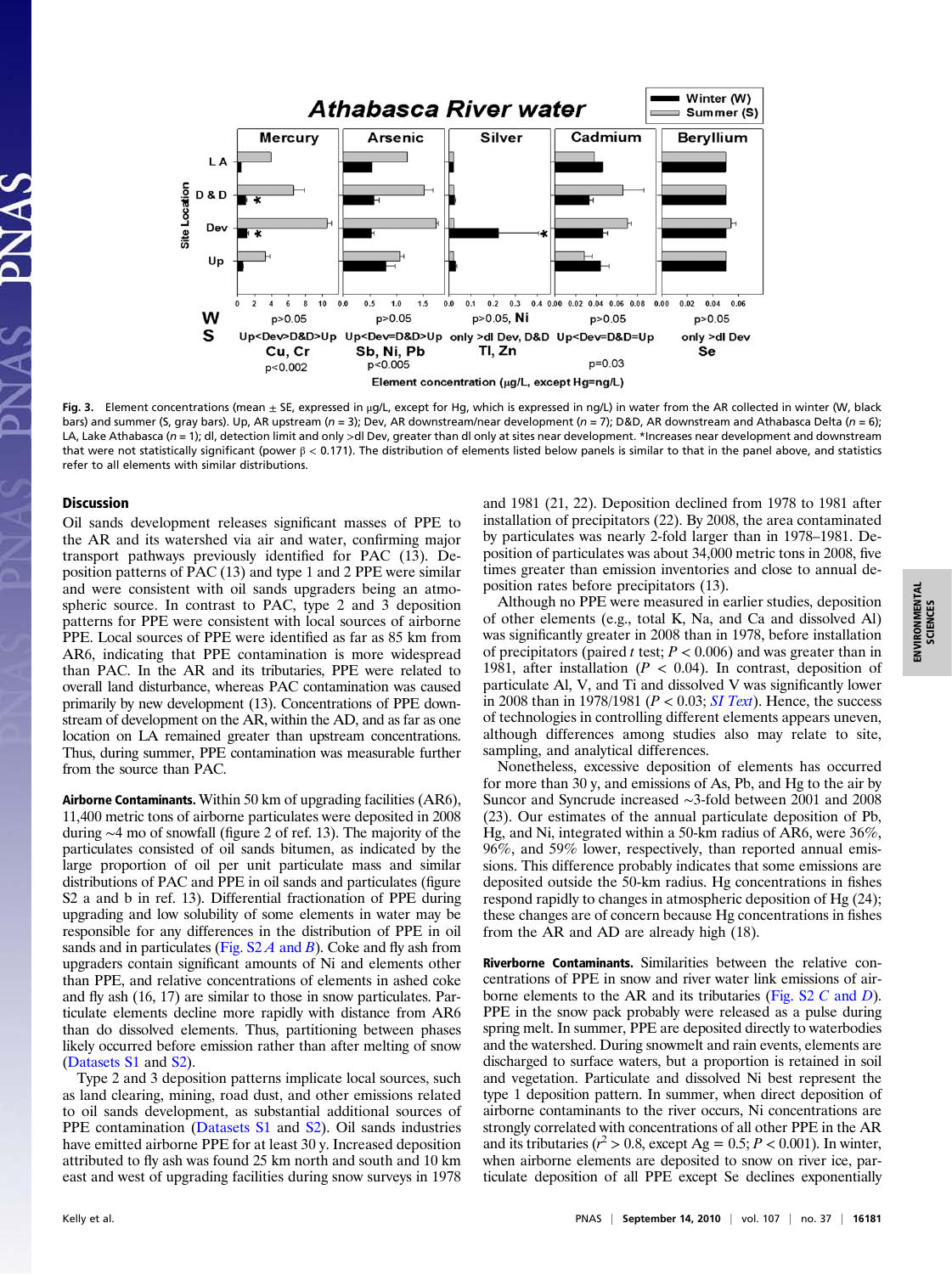

Fig. 3. Element concentrations (mean  $\pm$  SE, expressed in µg/L, except for Hg, which is expressed in ng/L) in water from the AR collected in winter (W, black bars) and summer (S, gray bars). Up, AR upstream ( $n = 3$ ); Dev, AR downstream/near development ( $n = 7$ ); D&D, AR downstream and Athabasca Delta ( $n = 6$ ); LA, Lake Athabasca (n = 1); dl, detection limit and only >dl Dev, greater than dl only at sites near development. \*Increases near development and downstream that were not statistically significant (power  $\beta$  < 0.171). The distribution of elements listed below panels is similar to that in the panel above, and statistics refer to all elements with similar distributions.

## **Discussion**

Oil sands development releases significant masses of PPE to the AR and its watershed via air and water, confirming major transport pathways previously identified for PAC (13). Deposition patterns of PAC (13) and type 1 and 2 PPE were similar and were consistent with oil sands upgraders being an atmospheric source. In contrast to PAC, type 2 and 3 deposition patterns for PPE were consistent with local sources of airborne PPE. Local sources of PPE were identified as far as 85 km from AR6, indicating that PPE contamination is more widespread than PAC. In the AR and its tributaries, PPE were related to overall land disturbance, whereas PAC contamination was caused primarily by new development (13). Concentrations of PPE downstream of development on the AR, within the AD, and as far as one location on LA remained greater than upstream concentrations. Thus, during summer, PPE contamination was measurable further from the source than PAC.

Airborne Contaminants. Within 50 km of upgrading facilities (AR6), 11,400 metric tons of airborne particulates were deposited in 2008 during ∼4 mo of snowfall (figure 2 of ref. 13). The majority of the particulates consisted of oil sands bitumen, as indicated by the large proportion of oil per unit particulate mass and similar distributions of PAC and PPE in oil sands and particulates (figure S2 a and b in ref. 13). Differential fractionation of PPE during upgrading and low solubility of some elements in water may be responsible for any differences in the distribution of PPE in oil sands and in particulates (Fig.  $S2A$  and B). Coke and fly ash from upgraders contain significant amounts of Ni and elements other than PPE, and relative concentrations of elements in ashed coke and fly ash (16, 17) are similar to those in snow particulates. Particulate elements decline more rapidly with distance from AR6 than do dissolved elements. Thus, partitioning between phases likely occurred before emission rather than after melting of snow ([Datasets S1](http://www.pnas.org/lookup/suppl/doi:10.1073/pnas.1008754107/-/DCSupplemental/sd01.xls) and [S2\)](http://www.pnas.org/lookup/suppl/doi:10.1073/pnas.1008754107/-/DCSupplemental/sd02.xls).

Type 2 and 3 deposition patterns implicate local sources, such as land clearing, mining, road dust, and other emissions related to oil sands development, as substantial additional sources of PPE contamination ([Datasets S1](http://www.pnas.org/lookup/suppl/doi:10.1073/pnas.1008754107/-/DCSupplemental/sd01.xls) and [S2](http://www.pnas.org/lookup/suppl/doi:10.1073/pnas.1008754107/-/DCSupplemental/sd02.xls)). Oil sands industries have emitted airborne PPE for at least 30 y. Increased deposition attributed to fly ash was found 25 km north and south and 10 km east and west of upgrading facilities during snow surveys in 1978

and 1981 (21, 22). Deposition declined from 1978 to 1981 after installation of precipitators (22). By 2008, the area contaminated by particulates was nearly 2-fold larger than in 1978–1981. Deposition of particulates was about 34,000 metric tons in 2008, five times greater than emission inventories and close to annual deposition rates before precipitators (13).

Although no PPE were measured in earlier studies, deposition of other elements (e.g., total K, Na, and Ca and dissolved Al) was significantly greater in 2008 than in 1978, before installation of precipitators (paired t test;  $P < 0.006$ ) and was greater than in 1981, after installation ( $P < 0.04$ ). In contrast, deposition of particulate Al, V, and Ti and dissolved V was significantly lower in 2008 than in 1978/1981 ( $P < 0.03$ ; [SI Text](http://www.pnas.org/lookup/suppl/doi:10.1073/pnas.1008754107/-/DCSupplemental/pnas.201008754SI.pdf?targetid=nameddest=STXT)). Hence, the success of technologies in controlling different elements appears uneven, although differences among studies also may relate to site, sampling, and analytical differences.

Nonetheless, excessive deposition of elements has occurred for more than 30 y, and emissions of As, Pb, and Hg to the air by Suncor and Syncrude increased ∼3-fold between 2001 and 2008 (23). Our estimates of the annual particulate deposition of Pb, Hg, and Ni, integrated within a 50-km radius of AR6, were 36%, 96%, and 59% lower, respectively, than reported annual emissions. This difference probably indicates that some emissions are deposited outside the 50-km radius. Hg concentrations in fishes respond rapidly to changes in atmospheric deposition of Hg (24); these changes are of concern because Hg concentrations in fishes from the AR and AD are already high (18).

Riverborne Contaminants. Similarities between the relative concentrations of PPE in snow and river water link emissions of airborne elements to the AR and its tributaries ([Fig. S2](http://www.pnas.org/lookup/suppl/doi:10.1073/pnas.1008754107/-/DCSupplemental/pnas.201008754SI.pdf?targetid=nameddest=SF2) C and D). PPE in the snow pack probably were released as a pulse during spring melt. In summer, PPE are deposited directly to waterbodies and the watershed. During snowmelt and rain events, elements are discharged to surface waters, but a proportion is retained in soil and vegetation. Particulate and dissolved Ni best represent the type 1 deposition pattern. In summer, when direct deposition of airborne contaminants to the river occurs, Ni concentrations are strongly correlated with concentrations of all other PPE in the AR and its tributaries ( $r^2 > 0.8$ , except Ag = 0.5; P < 0.001). In winter, when airborne elements are deposited to snow on river ice, particulate deposition of all PPE except Se declines exponentially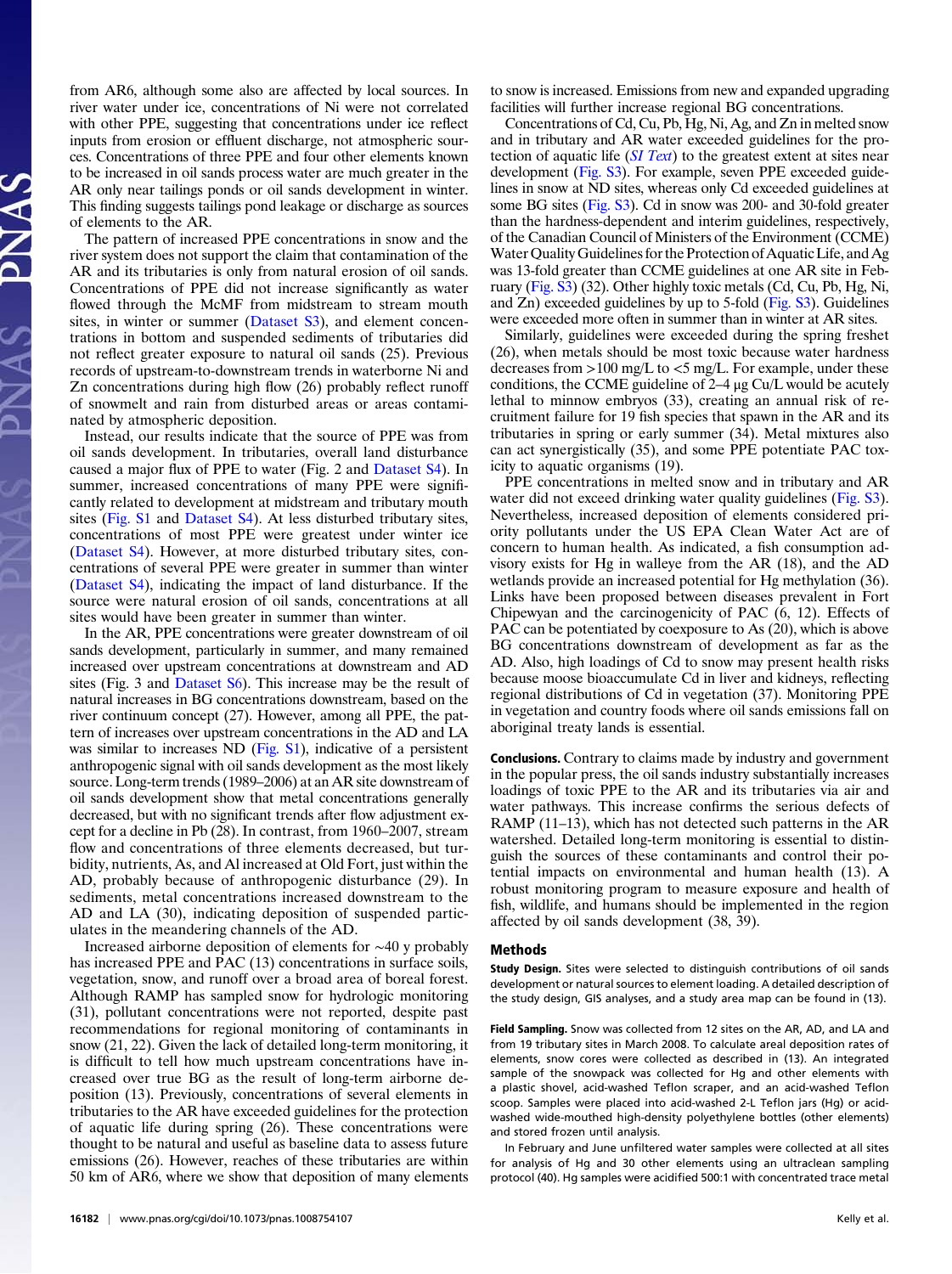from AR6, although some also are affected by local sources. In river water under ice, concentrations of Ni were not correlated with other PPE, suggesting that concentrations under ice reflect inputs from erosion or effluent discharge, not atmospheric sources. Concentrations of three PPE and four other elements known to be increased in oil sands process water are much greater in the AR only near tailings ponds or oil sands development in winter. This finding suggests tailings pond leakage or discharge as sources of elements to the AR.

The pattern of increased PPE concentrations in snow and the river system does not support the claim that contamination of the AR and its tributaries is only from natural erosion of oil sands. Concentrations of PPE did not increase significantly as water flowed through the McMF from midstream to stream mouth sites, in winter or summer ([Dataset S3](http://www.pnas.org/lookup/suppl/doi:10.1073/pnas.1008754107/-/DCSupplemental/sd03.xls)), and element concentrations in bottom and suspended sediments of tributaries did not reflect greater exposure to natural oil sands (25). Previous records of upstream-to-downstream trends in waterborne Ni and Zn concentrations during high flow (26) probably reflect runoff of snowmelt and rain from disturbed areas or areas contaminated by atmospheric deposition.

Instead, our results indicate that the source of PPE was from oil sands development. In tributaries, overall land disturbance caused a major flux of PPE to water (Fig. 2 and [Dataset S4](http://www.pnas.org/lookup/suppl/doi:10.1073/pnas.1008754107/-/DCSupplemental/sd04.xls)). In summer, increased concentrations of many PPE were significantly related to development at midstream and tributary mouth sites ([Fig. S1](http://www.pnas.org/lookup/suppl/doi:10.1073/pnas.1008754107/-/DCSupplemental/pnas.201008754SI.pdf?targetid=nameddest=SF1) and [Dataset S4\)](http://www.pnas.org/lookup/suppl/doi:10.1073/pnas.1008754107/-/DCSupplemental/sd04.xls). At less disturbed tributary sites, concentrations of most PPE were greatest under winter ice [\(Dataset S4\)](http://www.pnas.org/lookup/suppl/doi:10.1073/pnas.1008754107/-/DCSupplemental/sd04.xls). However, at more disturbed tributary sites, concentrations of several PPE were greater in summer than winter [\(Dataset S4\)](http://www.pnas.org/lookup/suppl/doi:10.1073/pnas.1008754107/-/DCSupplemental/sd04.xls), indicating the impact of land disturbance. If the source were natural erosion of oil sands, concentrations at all sites would have been greater in summer than winter.

In the AR, PPE concentrations were greater downstream of oil sands development, particularly in summer, and many remained increased over upstream concentrations at downstream and AD sites (Fig. 3 and [Dataset S6\)](http://www.pnas.org/lookup/suppl/doi:10.1073/pnas.1008754107/-/DCSupplemental/sd06.xls). This increase may be the result of natural increases in BG concentrations downstream, based on the river continuum concept (27). However, among all PPE, the pattern of increases over upstream concentrations in the AD and LA was similar to increases ND ([Fig. S1\)](http://www.pnas.org/lookup/suppl/doi:10.1073/pnas.1008754107/-/DCSupplemental/pnas.201008754SI.pdf?targetid=nameddest=SF1), indicative of a persistent anthropogenic signal with oil sands development as the most likely source. Long-term trends (1989–2006) at an AR site downstream of oil sands development show that metal concentrations generally decreased, but with no significant trends after flow adjustment except for a decline in Pb (28). In contrast, from 1960–2007, stream flow and concentrations of three elements decreased, but turbidity, nutrients, As, and Al increased at Old Fort, just within the AD, probably because of anthropogenic disturbance (29). In sediments, metal concentrations increased downstream to the AD and LA (30), indicating deposition of suspended particulates in the meandering channels of the AD.

Increased airborne deposition of elements for ∼40 y probably has increased PPE and PAC (13) concentrations in surface soils, vegetation, snow, and runoff over a broad area of boreal forest. Although RAMP has sampled snow for hydrologic monitoring (31), pollutant concentrations were not reported, despite past recommendations for regional monitoring of contaminants in snow (21, 22). Given the lack of detailed long-term monitoring, it is difficult to tell how much upstream concentrations have increased over true BG as the result of long-term airborne deposition (13). Previously, concentrations of several elements in tributaries to the AR have exceeded guidelines for the protection of aquatic life during spring (26). These concentrations were thought to be natural and useful as baseline data to assess future emissions (26). However, reaches of these tributaries are within 50 km of AR6, where we show that deposition of many elements to snow is increased. Emissions from new and expanded upgrading facilities will further increase regional BG concentrations.

Concentrations of Cd, Cu, Pb, Hg, Ni, Ag, and Zn in melted snow and in tributary and AR water exceeded guidelines for the protection of aquatic life ([SI Text](http://www.pnas.org/lookup/suppl/doi:10.1073/pnas.1008754107/-/DCSupplemental/pnas.201008754SI.pdf?targetid=nameddest=STXT)) to the greatest extent at sites near development ([Fig. S3\)](http://www.pnas.org/lookup/suppl/doi:10.1073/pnas.1008754107/-/DCSupplemental/pnas.201008754SI.pdf?targetid=nameddest=SF3). For example, seven PPE exceeded guidelines in snow at ND sites, whereas only Cd exceeded guidelines at some BG sites [\(Fig. S3](http://www.pnas.org/lookup/suppl/doi:10.1073/pnas.1008754107/-/DCSupplemental/pnas.201008754SI.pdf?targetid=nameddest=SF3)). Cd in snow was 200- and 30-fold greater than the hardness-dependent and interim guidelines, respectively, of the Canadian Council of Ministers of the Environment (CCME) WaterQuality Guidelines for the Protection of Aquatic Life, and Ag was 13-fold greater than CCME guidelines at one AR site in February [\(Fig. S3\)](http://www.pnas.org/lookup/suppl/doi:10.1073/pnas.1008754107/-/DCSupplemental/pnas.201008754SI.pdf?targetid=nameddest=SF3) (32). Other highly toxic metals (Cd, Cu, Pb, Hg, Ni, and Zn) exceeded guidelines by up to 5-fold [\(Fig. S3](http://www.pnas.org/lookup/suppl/doi:10.1073/pnas.1008754107/-/DCSupplemental/pnas.201008754SI.pdf?targetid=nameddest=SF3)). Guidelines were exceeded more often in summer than in winter at AR sites.

Similarly, guidelines were exceeded during the spring freshet (26), when metals should be most toxic because water hardness decreases from  $>100$  mg/L to  $<$ 5 mg/L. For example, under these conditions, the CCME guideline of 2–4 μg Cu/L would be acutely lethal to minnow embryos (33), creating an annual risk of recruitment failure for 19 fish species that spawn in the AR and its tributaries in spring or early summer (34). Metal mixtures also can act synergistically (35), and some PPE potentiate PAC toxicity to aquatic organisms (19).

PPE concentrations in melted snow and in tributary and AR water did not exceed drinking water quality guidelines [\(Fig. S3\)](http://www.pnas.org/lookup/suppl/doi:10.1073/pnas.1008754107/-/DCSupplemental/pnas.201008754SI.pdf?targetid=nameddest=SF3). Nevertheless, increased deposition of elements considered priority pollutants under the US EPA Clean Water Act are of concern to human health. As indicated, a fish consumption advisory exists for Hg in walleye from the AR (18), and the AD wetlands provide an increased potential for Hg methylation (36). Links have been proposed between diseases prevalent in Fort Chipewyan and the carcinogenicity of PAC (6, 12). Effects of PAC can be potentiated by coexposure to As (20), which is above BG concentrations downstream of development as far as the AD. Also, high loadings of Cd to snow may present health risks because moose bioaccumulate Cd in liver and kidneys, reflecting regional distributions of Cd in vegetation (37). Monitoring PPE in vegetation and country foods where oil sands emissions fall on aboriginal treaty lands is essential.

Conclusions. Contrary to claims made by industry and government in the popular press, the oil sands industry substantially increases loadings of toxic PPE to the AR and its tributaries via air and water pathways. This increase confirms the serious defects of RAMP (11–13), which has not detected such patterns in the AR watershed. Detailed long-term monitoring is essential to distinguish the sources of these contaminants and control their potential impacts on environmental and human health (13). A robust monitoring program to measure exposure and health of fish, wildlife, and humans should be implemented in the region affected by oil sands development (38, 39).

## Methods

Study Design. Sites were selected to distinguish contributions of oil sands development or natural sources to element loading. A detailed description of the study design, GIS analyses, and a study area map can be found in (13).

Field Sampling. Snow was collected from 12 sites on the AR, AD, and LA and from 19 tributary sites in March 2008. To calculate areal deposition rates of elements, snow cores were collected as described in (13). An integrated sample of the snowpack was collected for Hg and other elements with a plastic shovel, acid-washed Teflon scraper, and an acid-washed Teflon scoop. Samples were placed into acid-washed 2-L Teflon jars (Hg) or acidwashed wide-mouthed high-density polyethylene bottles (other elements) and stored frozen until analysis.

In February and June unfiltered water samples were collected at all sites for analysis of Hg and 30 other elements using an ultraclean sampling protocol (40). Hg samples were acidified 500:1 with concentrated trace metal